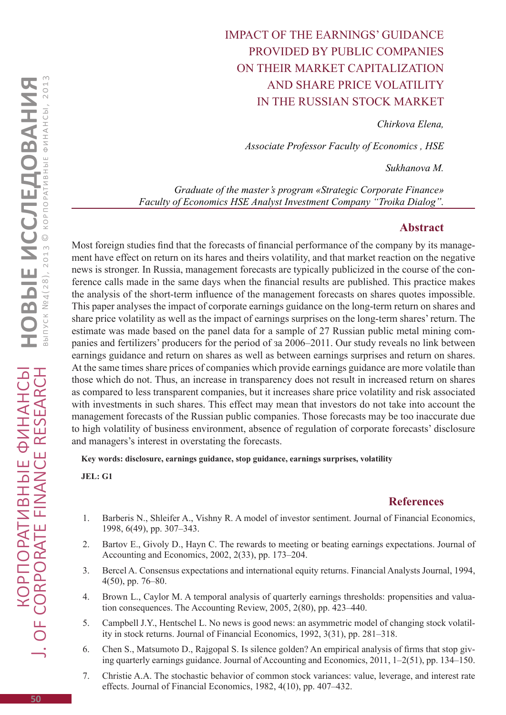## Impact of the earnings' guidance provided by public companies on their market capitalization and share price volatility in the Russian stock market

*Chirkova Elena,* 

*Associate Professor Faculty of Economics , HSE*

*Sukhanova M.* 

*Graduate of the master's program «Strategic Corporate Finance» Faculty of Economics HSE Analyst Investment Company "Troika Dialog".* 

## **Abstract**

Most foreign studies find that the forecasts of financial performance of the company by its management have effect on return on its hares and theirs volatility, and that market reaction on the negative news is stronger. In Russia, management forecasts are typically publicized in the course of the conference calls made in the same days when the financial results are published. This practice makes the analysis of the short-term influence of the management forecasts on shares quotes impossible. This paper analyses the impact of corporate earnings guidance on the long-term return on shares and share price volatility as well as the impact of earnings surprises on the long-term shares' return. The estimate was made based on the panel data for a sample of 27 Russian public metal mining companies and fertilizers' producers for the period of за 2006–2011. Our study reveals no link between earnings guidance and return on shares as well as between earnings surprises and return on shares. At the same times share prices of companies which provide earnings guidance are more volatile than those which do not. Thus, an increase in transparency does not result in increased return on shares as compared to less transparent companies, but it increases share price volatility and risk associated with investments in such shares. This effect may mean that investors do not take into account the management forecasts of the Russian public companies. Those forecasts may be too inaccurate due to high volatility of business environment, absence of regulation of corporate forecasts' disclosure and managers's interest in overstating the forecasts.

**Key words: disclosure, earnings guidance, stop guidance, earnings surprises, volatility**

**JEL: G1**

## **References**

- 1. Barberis N., Shleifer A., Vishny R. A model of investor sentiment. Journal of Financial Economics, 1998, 6(49), pp. 307–343.
- 2. Bartov E., Givoly D., Hayn C. The rewards to meeting or beating earnings expectations. Journal of Accounting and Economics, 2002, 2(33), pp. 173–204.
- 3. Bercel A. Consensus expectations and international equity returns. Financial Analysts Journal, 1994, 4(50), pp. 76–80.
- 4. Brown L., Caylor M. A temporal analysis of quarterly earnings thresholds: propensities and valuation consequences. The Accounting Review, 2005, 2(80), pp. 423–440.
- 5. Campbell J.Y., Hentschel L. No news is good news: an asymmetric model of changing stock volatility in stock returns. Journal of Financial Economics, 1992, 3(31), pp. 281–318.
- 6. Chen S., Matsumoto D., Rajgopal S. Is silence golden? An empirical analysis of firms that stop giving quarterly earnings guidance. Journal of Accounting and Economics, 2011, 1–2(51), pp. 134–150.
- 7. Christie A.A. The stochastic behavior of common stock variances: value, leverage, and interest rate effects. Journal of Financial Economics, 1982, 4(10), pp. 407–432.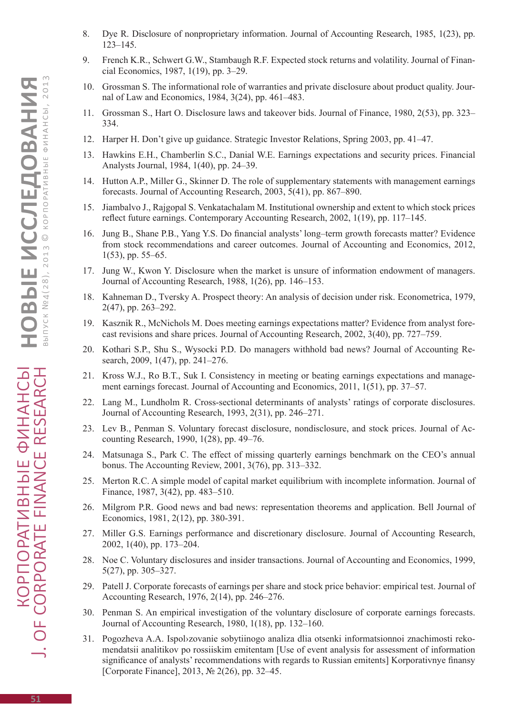- 8. Dye R. Disclosure of nonproprietary information. Journal of Accounting Research, 1985, 1(23), pp. 123–145.
- 9. French K.R., Schwert G.W., Stambaugh R.F. Expected stock returns and volatility. Journal of Financial Economics, 1987, 1(19), pp. 3–29.
- 10. Grossman S. The informational role of warranties and private disclosure about product quality. Journal of Law and Economics, 1984, 3(24), pp. 461–483.
- 11. Grossman S., Hart O. Disclosure laws and takeover bids. Journal of Finance, 1980, 2(53), pp. 323– 334.
- 12. Harper H. Don't give up guidance. Strategic Investor Relations, Spring 2003, pp. 41–47.
- 13. Hawkins E.H., Chamberlin S.C., Danial W.E. Earnings expectations and security prices. Financial Analysts Journal, 1984, 1(40), pp. 24–39.
- 14. Hutton A.P., Miller G., Skinner D. The role of supplementary statements with management earnings forecasts. Journal of Accounting Research, 2003, 5(41), pp. 867–890.
- 15. Jiambalvo J., Rajgopal S. Venkatachalam M. Institutional ownership and extent to which stock prices reflect future earnings. Contemporary Accounting Research, 2002, 1(19), pp. 117–145.
- 16. Jung B., Shane P.B., Yang Y.S. Do financial analysts' long–term growth forecasts matter? Evidence from stock recommendations and career outcomes. Journal of Accounting and Economics, 2012, 1(53), pp. 55–65.
- 17. Jung W., Kwon Y. Disclosure when the market is unsure of information endowment of managers. Journal of Accounting Research, 1988, 1(26), pp. 146–153.
- 18. Kahneman D., Tversky A. Prospect theory: An analysis of decision under risk. Econometrica, 1979, 2(47), pp. 263–292.
- 19. Kasznik R., McNichols M. Does meeting earnings expectations matter? Evidence from analyst forecast revisions and share prices. Journal of Accounting Research, 2002, 3(40), pp. 727–759.
- 20. Kothari S.P., Shu S., Wysocki P.D. Do managers withhold bad news? Journal of Accounting Research, 2009, 1(47), pp. 241–276.
- 21. Kross W.J., Ro B.T., Suk I. Consistency in meeting or beating earnings expectations and management earnings forecast. Journal of Accounting and Economics, 2011, 1(51), pp. 37–57.
- 22. Lang M., Lundholm R. Cross-sectional determinants of analysts' ratings of corporate disclosures. Journal of Accounting Research, 1993, 2(31), pp. 246–271.
- 23. Lev B., Penman S. Voluntary forecast disclosure, nondisclosure, and stock prices. Journal of Accounting Research, 1990, 1(28), pp. 49–76.
- 24. Matsunaga S., Park C. The effect of missing quarterly earnings benchmark on the CEO's annual bonus. The Accounting Review, 2001, 3(76), pp. 313–332.
- 25. Merton R.C. A simple model of capital market equilibrium with incomplete information. Journal of Finance, 1987, 3(42), pp. 483–510.
- 26. Milgrom P.R. Good news and bad news: representation theorems and application. Bell Journal of Economics, 1981, 2(12), pp. 380-391.
- 27. Miller G.S. Earnings performance and discretionary disclosure. Journal of Accounting Research, 2002, 1(40), pp. 173–204.
- 28. Noe C. Voluntary disclosures and insider transactions. Journal of Accounting and Economics, 1999, 5(27), pp. 305–327.
- 29. Patell J. Corporate forecasts of earnings per share and stock price behavior: empirical test. Journal of Accounting Research, 1976, 2(14), pp. 246–276.
- 30. Penman S. An empirical investigation of the voluntary disclosure of corporate earnings forecasts. Journal of Accounting Research, 1980, 1(18), pp. 132–160.
- 31. Pogozheva A.A. Ispol›zovanie sobytiinogo analiza dlia otsenki informatsionnoi znachimosti rekomendatsii analitikov po rossiiskim emitentam [Use of event analysis for assessment of information significance of analysts' recommendations with regards to Russian emitents] Korporativnye finansy [Corporate Finance], 2013, № 2(26), pp. 32–45.